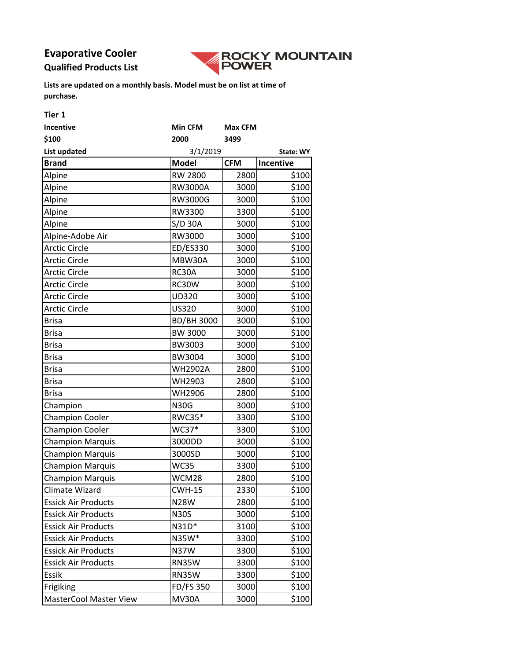# **Evaporative Cooler**

## **Qualified Products List**



| Tier 1                        |                       |                |                   |
|-------------------------------|-----------------------|----------------|-------------------|
| <b>Incentive</b>              | Min CFM               | <b>Max CFM</b> |                   |
| \$100                         | 2000                  | 3499           |                   |
| <b>List updated</b>           | 3/1/2019<br>State: WY |                |                   |
| <b>Brand</b>                  | <b>Model</b>          | <b>CFM</b>     | Incentive         |
| Alpine                        | <b>RW 2800</b>        | 2800           | \$100             |
| Alpine                        | <b>RW3000A</b>        | 3000           | \$100             |
| Alpine                        | RW3000G               | 3000           | \$100             |
| Alpine                        | RW3300                | 3300           | \$100             |
| Alpine                        | S/D 30A               | 3000           | \$100             |
| Alpine-Adobe Air              | RW3000                | 3000           | \$100             |
| <b>Arctic Circle</b>          | ED/ES330              | 3000           | \$100             |
| <b>Arctic Circle</b>          | MBW30A                | 3000           | \$100             |
| <b>Arctic Circle</b>          | RC30A                 | 3000           | \$100             |
| <b>Arctic Circle</b>          | RC30W                 | 3000           | \$100             |
| <b>Arctic Circle</b>          | <b>UD320</b>          | 3000           | \$100             |
| <b>Arctic Circle</b>          | US320                 | 3000           | \$100             |
| <b>Brisa</b>                  | <b>BD/BH 3000</b>     | 3000           | \$100             |
| <b>Brisa</b>                  | BW 3000               | 3000           | \$100             |
| <b>Brisa</b>                  | BW3003                | 3000           | \$100             |
| <b>Brisa</b>                  | BW3004                | 3000           | \$100             |
| <b>Brisa</b>                  | <b>WH2902A</b>        | 2800           | \$100             |
| <b>Brisa</b>                  | WH2903                | 2800           | \$100             |
| <b>Brisa</b>                  | WH2906                | 2800           | \$100             |
| Champion                      | <b>N30G</b>           | 3000           | \$100             |
| <b>Champion Cooler</b>        | <b>RWC35*</b>         | 3300           | \$100             |
| <b>Champion Cooler</b>        | WC37*                 | 3300           | \$100             |
| <b>Champion Marquis</b>       | 3000DD                | 3000           | \$100             |
| <b>Champion Marquis</b>       | 3000SD                | 3000           | \$100             |
| <b>Champion Marquis</b>       | <b>WC35</b>           | 3300           | \$100             |
| <b>Champion Marquis</b>       | WCM28                 | 2800           | $\frac{1}{5}$ 100 |
| Climate Wizard                | <b>CWH-15</b>         | 2330           | \$100             |
| <b>Essick Air Products</b>    | <b>N28W</b>           | 2800           | \$100             |
| <b>Essick Air Products</b>    | <b>N30S</b>           | 3000           | \$100             |
| <b>Essick Air Products</b>    | N31D*                 | 3100           | \$100             |
| <b>Essick Air Products</b>    | N35W*                 | 3300           | \$100             |
| <b>Essick Air Products</b>    | <b>N37W</b>           | 3300           | \$100             |
| <b>Essick Air Products</b>    | <b>RN35W</b>          | 3300           | \$100             |
| Essik                         | <b>RN35W</b>          | 3300           | \$100             |
| Frigiking                     | <b>FD/FS 350</b>      | 3000           | \$100             |
| <b>MasterCool Master View</b> | <b>MV30A</b>          | 3000           | \$100             |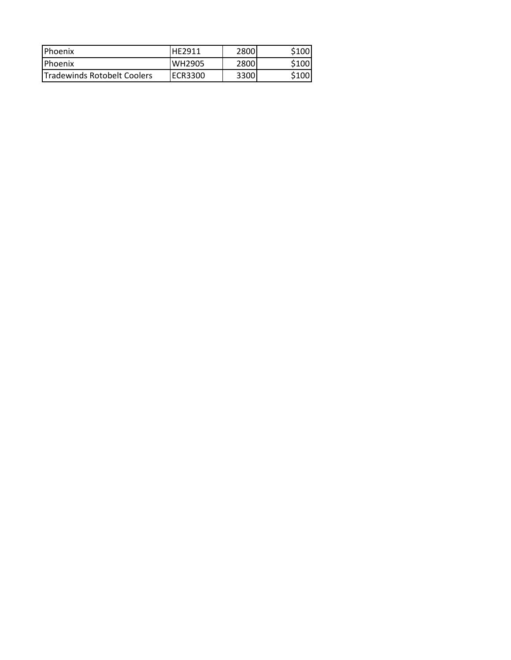| Phoenix                      | <b>HF2911</b> | 28001 | \$100 |
|------------------------------|---------------|-------|-------|
| <b>Phoenix</b>               | <b>WH2905</b> | 2800  | S100l |
| ITradewinds Rotobelt Coolers | IECR3300      | 3300  | \$100 |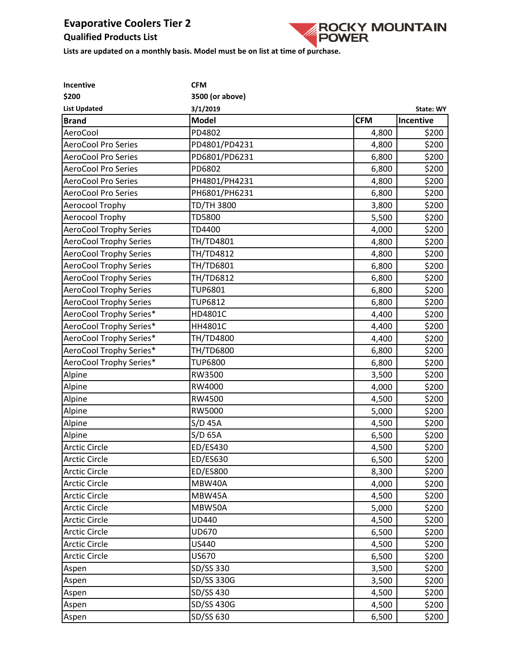## **Qualified Products List**



| Incentive                     | <b>CFM</b>      |            |           |
|-------------------------------|-----------------|------------|-----------|
| \$200                         | 3500 (or above) |            |           |
| <b>List Updated</b>           | 3/1/2019        |            | State: WY |
| <b>Brand</b>                  | <b>Model</b>    | <b>CFM</b> | Incentive |
| AeroCool                      | PD4802          | 4,800      | \$200     |
| <b>AeroCool Pro Series</b>    | PD4801/PD4231   | 4,800      | \$200     |
| <b>AeroCool Pro Series</b>    | PD6801/PD6231   | 6,800      | \$200     |
| <b>AeroCool Pro Series</b>    | PD6802          | 6,800      | \$200     |
| <b>AeroCool Pro Series</b>    | PH4801/PH4231   | 4,800      | \$200     |
| AeroCool Pro Series           | PH6801/PH6231   | 6,800      | \$200     |
| Aerocool Trophy               | TD/TH 3800      | 3,800      | \$200     |
| Aerocool Trophy               | <b>TD5800</b>   | 5,500      | \$200     |
| <b>AeroCool Trophy Series</b> | TD4400          | 4,000      | \$200     |
| <b>AeroCool Trophy Series</b> | TH/TD4801       | 4,800      | \$200     |
| <b>AeroCool Trophy Series</b> | TH/TD4812       | 4,800      | \$200     |
| <b>AeroCool Trophy Series</b> | TH/TD6801       | 6,800      | \$200     |
| <b>AeroCool Trophy Series</b> | TH/TD6812       | 6,800      | \$200     |
| <b>AeroCool Trophy Series</b> | <b>TUP6801</b>  | 6,800      | \$200     |
| <b>AeroCool Trophy Series</b> | <b>TUP6812</b>  | 6,800      | \$200     |
| AeroCool Trophy Series*       | HD4801C         | 4,400      | \$200     |
| AeroCool Trophy Series*       | HH4801C         | 4,400      | \$200     |
| AeroCool Trophy Series*       | TH/TD4800       | 4,400      | \$200     |
| AeroCool Trophy Series*       | TH/TD6800       | 6,800      | \$200     |
| AeroCool Trophy Series*       | <b>TUP6800</b>  | 6,800      | \$200     |
| Alpine                        | RW3500          | 3,500      | \$200     |
| Alpine                        | RW4000          | 4,000      | \$200     |
| Alpine                        | RW4500          | 4,500      | \$200     |
| Alpine                        | RW5000          | 5,000      | \$200     |
| Alpine                        | S/D 45A         | 4,500      | \$200     |
| Alpine                        | $S/D$ 65A       | 6,500      | \$200     |
| <b>Arctic Circle</b>          | ED/ES430        | 4,500      | \$200     |
| <b>Arctic Circle</b>          | ED/ES630        | 6,500      | \$200     |
| <b>Arctic Circle</b>          | ED/ES800        | 8,300      | \$200     |
| <b>Arctic Circle</b>          | MBW40A          | 4,000      | \$200     |
| <b>Arctic Circle</b>          | MBW45A          | 4,500      | \$200     |
| <b>Arctic Circle</b>          | MBW50A          | 5,000      | \$200     |
| <b>Arctic Circle</b>          | UD440           | 4,500      | \$200     |
| <b>Arctic Circle</b>          | UD670           | 6,500      | \$200     |
| <b>Arctic Circle</b>          | US440           | 4,500      | \$200     |
| <b>Arctic Circle</b>          | US670           | 6,500      | \$200     |
| Aspen                         | SD/SS 330       | 3,500      | \$200     |
| Aspen                         | SD/SS 330G      | 3,500      | \$200     |
| Aspen                         | SD/SS 430       | 4,500      | \$200     |
| Aspen                         | SD/SS 430G      | 4,500      | \$200     |
| Aspen                         | SD/SS 630       | 6,500      | \$200     |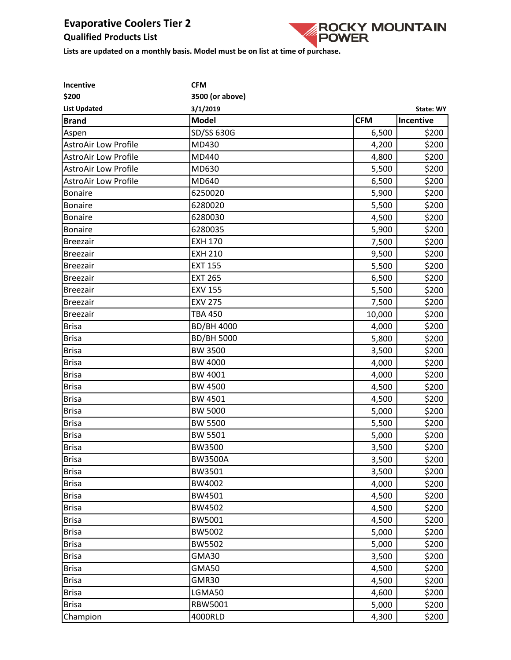## **Qualified Products List**



| Incentive                   | <b>CFM</b>        |            |           |
|-----------------------------|-------------------|------------|-----------|
| \$200                       | 3500 (or above)   |            |           |
| <b>List Updated</b>         | 3/1/2019          |            | State: WY |
| <b>Brand</b>                | <b>Model</b>      | <b>CFM</b> | Incentive |
| Aspen                       | SD/SS 630G        | 6,500      | \$200     |
| <b>AstroAir Low Profile</b> | MD430             | 4,200      | \$200     |
| <b>AstroAir Low Profile</b> | MD440             | 4,800      | \$200     |
| <b>AstroAir Low Profile</b> | MD630             | 5,500      | \$200     |
| <b>AstroAir Low Profile</b> | MD640             | 6,500      | \$200     |
| <b>Bonaire</b>              | 6250020           | 5,900      | \$200     |
| <b>Bonaire</b>              | 6280020           | 5,500      | \$200     |
| <b>Bonaire</b>              | 6280030           | 4,500      | \$200     |
| <b>Bonaire</b>              | 6280035           | 5,900      | \$200     |
| <b>Breezair</b>             | <b>EXH 170</b>    | 7,500      | \$200     |
| <b>Breezair</b>             | <b>EXH 210</b>    | 9,500      | \$200     |
| <b>Breezair</b>             | <b>EXT 155</b>    | 5,500      | \$200     |
| <b>Breezair</b>             | <b>EXT 265</b>    | 6,500      | \$200     |
| <b>Breezair</b>             | <b>EXV 155</b>    | 5,500      | \$200     |
| <b>Breezair</b>             | <b>EXV 275</b>    | 7,500      | \$200     |
| <b>Breezair</b>             | <b>TBA 450</b>    | 10,000     | \$200     |
| <b>Brisa</b>                | <b>BD/BH 4000</b> | 4,000      | \$200     |
| <b>Brisa</b>                | <b>BD/BH 5000</b> | 5,800      | \$200     |
| <b>Brisa</b>                | <b>BW 3500</b>    | 3,500      | \$200     |
| <b>Brisa</b>                | BW 4000           | 4,000      | \$200     |
| <b>Brisa</b>                | BW 4001           | 4,000      | \$200     |
| <b>Brisa</b>                | <b>BW 4500</b>    | 4,500      | \$200     |
| <b>Brisa</b>                | BW 4501           | 4,500      | \$200     |
| <b>Brisa</b>                | <b>BW 5000</b>    | 5,000      | \$200     |
| <b>Brisa</b>                | <b>BW 5500</b>    | 5,500      | \$200     |
| <b>Brisa</b>                | <b>BW 5501</b>    | 5,000      | \$200     |
| <b>Brisa</b>                | <b>BW3500</b>     | 3,500      | \$200     |
| <b>Brisa</b>                | <b>BW3500A</b>    | 3,500      | \$200     |
| <b>Brisa</b>                | BW3501            | 3,500      | \$200     |
| <b>Brisa</b>                | BW4002            | 4,000      | \$200     |
| <b>Brisa</b>                | BW4501            | 4,500      | \$200     |
| <b>Brisa</b>                | BW4502            | 4,500      | \$200     |
| <b>Brisa</b>                | BW5001            | 4,500      | \$200     |
| <b>Brisa</b>                | BW5002            | 5,000      | \$200     |
| <b>Brisa</b>                | <b>BW5502</b>     | 5,000      | \$200     |
| <b>Brisa</b>                | GMA30             | 3,500      | \$200     |
| <b>Brisa</b>                | <b>GMA50</b>      | 4,500      | \$200     |
| <b>Brisa</b>                | GMR30             | 4,500      | \$200     |
| <b>Brisa</b>                | LGMA50            | 4,600      | \$200     |
| <b>Brisa</b>                | RBW5001           | 5,000      | \$200     |
| Champion                    | 4000RLD           | 4,300      | \$200     |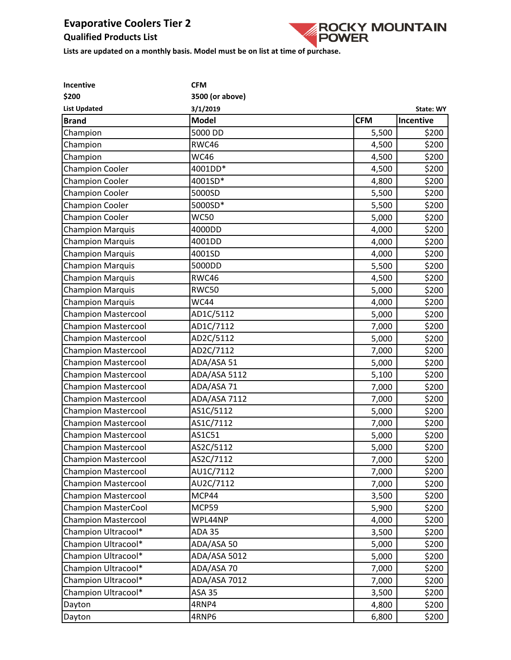## **Qualified Products List**



| Incentive                  | <b>CFM</b>      |            |           |
|----------------------------|-----------------|------------|-----------|
| \$200                      | 3500 (or above) |            |           |
| <b>List Updated</b>        | 3/1/2019        |            | State: WY |
| <b>Brand</b>               | <b>Model</b>    | <b>CFM</b> | Incentive |
| Champion                   | 5000 DD         | 5,500      | \$200     |
| Champion                   | RWC46           | 4,500      | \$200     |
| Champion                   | <b>WC46</b>     | 4,500      | \$200     |
| <b>Champion Cooler</b>     | 4001DD*         | 4,500      | \$200     |
| <b>Champion Cooler</b>     | 4001SD*         | 4,800      | \$200     |
| <b>Champion Cooler</b>     | 5000SD          | 5,500      | \$200     |
| <b>Champion Cooler</b>     | 5000SD*         | 5,500      | \$200     |
| <b>Champion Cooler</b>     | <b>WC50</b>     | 5,000      | \$200     |
| <b>Champion Marquis</b>    | 4000DD          | 4,000      | \$200     |
| <b>Champion Marquis</b>    | 4001DD          | 4,000      | \$200     |
| <b>Champion Marquis</b>    | 4001SD          | 4,000      | \$200     |
| <b>Champion Marquis</b>    | 5000DD          | 5,500      | \$200     |
| <b>Champion Marquis</b>    | RWC46           | 4,500      | \$200     |
| <b>Champion Marquis</b>    | <b>RWC50</b>    | 5,000      | \$200     |
| <b>Champion Marquis</b>    | <b>WC44</b>     | 4,000      | \$200     |
| <b>Champion Mastercool</b> | AD1C/5112       | 5,000      | \$200     |
| <b>Champion Mastercool</b> | AD1C/7112       | 7,000      | \$200     |
| <b>Champion Mastercool</b> | AD2C/5112       | 5,000      | \$200     |
| <b>Champion Mastercool</b> | AD2C/7112       | 7,000      | \$200     |
| <b>Champion Mastercool</b> | ADA/ASA 51      | 5,000      | \$200     |
| <b>Champion Mastercool</b> | ADA/ASA 5112    | 5,100      | \$200     |
| <b>Champion Mastercool</b> | ADA/ASA 71      | 7,000      | \$200     |
| <b>Champion Mastercool</b> | ADA/ASA 7112    | 7,000      | \$200     |
| <b>Champion Mastercool</b> | AS1C/5112       | 5,000      | \$200     |
| <b>Champion Mastercool</b> | AS1C/7112       | 7,000      | \$200     |
| <b>Champion Mastercool</b> | AS1C51          | 5,000      | \$200     |
| <b>Champion Mastercool</b> | AS2C/5112       | 5,000      | \$200     |
| <b>Champion Mastercool</b> | AS2C/7112       | 7,000      | \$200     |
| <b>Champion Mastercool</b> | AU1C/7112       | 7,000      | \$200     |
| <b>Champion Mastercool</b> | AU2C/7112       | 7,000      | \$200     |
| <b>Champion Mastercool</b> | MCP44           | 3,500      | \$200     |
| <b>Champion MasterCool</b> | MCP59           | 5,900      | \$200     |
| <b>Champion Mastercool</b> | WPL44NP         | 4,000      | \$200     |
| Champion Ultracool*        | <b>ADA 35</b>   | 3,500      | \$200     |
| Champion Ultracool*        | ADA/ASA 50      | 5,000      | \$200     |
| Champion Ultracool*        | ADA/ASA 5012    | 5,000      | \$200     |
| Champion Ultracool*        | ADA/ASA 70      | 7,000      | \$200     |
| Champion Ultracool*        | ADA/ASA 7012    | 7,000      | \$200     |
| Champion Ultracool*        | <b>ASA 35</b>   | 3,500      | \$200     |
| Dayton                     | 4RNP4           | 4,800      | \$200     |
| Dayton                     | 4RNP6           | 6,800      | \$200     |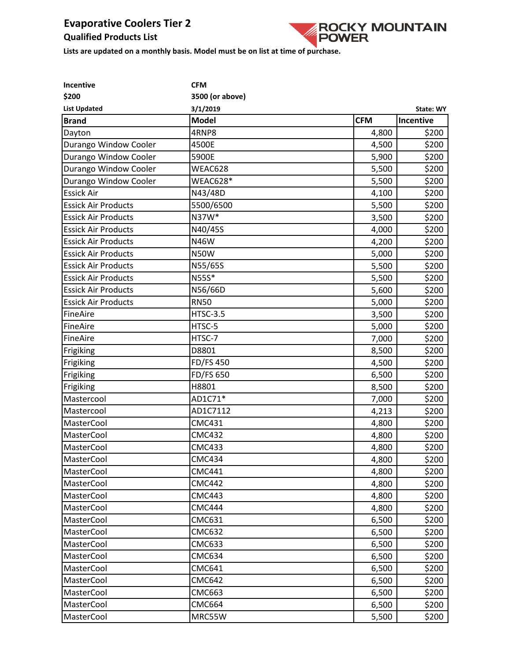## **Qualified Products List**



| Incentive                  | <b>CFM</b>       |            |                  |
|----------------------------|------------------|------------|------------------|
| \$200                      | 3500 (or above)  |            |                  |
| <b>List Updated</b>        | 3/1/2019         |            | <b>State: WY</b> |
| <b>Brand</b>               | <b>Model</b>     | <b>CFM</b> | Incentive        |
| Dayton                     | 4RNP8            | 4,800      | \$200            |
| Durango Window Cooler      | 4500E            | 4,500      | \$200            |
| Durango Window Cooler      | 5900E            | 5,900      | \$200            |
| Durango Window Cooler      | WEAC628          | 5,500      | \$200            |
| Durango Window Cooler      | WEAC628*         | 5,500      | \$200            |
| <b>Essick Air</b>          | N43/48D          | 4,100      | \$200            |
| <b>Essick Air Products</b> | 5500/6500        | 5,500      | \$200            |
| <b>Essick Air Products</b> | N37W*            | 3,500      | \$200            |
| <b>Essick Air Products</b> | N40/45S          | 4,000      | \$200            |
| <b>Essick Air Products</b> | N46W             | 4,200      | \$200            |
| <b>Essick Air Products</b> | <b>N50W</b>      | 5,000      | \$200            |
| <b>Essick Air Products</b> | N55/65S          | 5,500      | \$200            |
| <b>Essick Air Products</b> | N55S*            | 5,500      | \$200            |
| <b>Essick Air Products</b> | N56/66D          | 5,600      | \$200            |
| <b>Essick Air Products</b> | <b>RN50</b>      | 5,000      | \$200            |
| FineAire                   | <b>HTSC-3.5</b>  | 3,500      | \$200            |
| FineAire                   | HTSC-5           | 5,000      | \$200            |
| FineAire                   | HTSC-7           | 7,000      | \$200            |
| Frigiking                  | D8801            | 8,500      | \$200            |
| Frigiking                  | <b>FD/FS 450</b> | 4,500      | \$200            |
| Frigiking                  | FD/FS 650        | 6,500      | \$200            |
| Frigiking                  | H8801            | 8,500      | \$200            |
| Mastercool                 | AD1C71*          | 7,000      | \$200            |
| Mastercool                 | AD1C7112         | 4,213      | \$200            |
| MasterCool                 | <b>CMC431</b>    | 4,800      | \$200            |
| MasterCool                 | <b>CMC432</b>    | 4,800      | \$200            |
| MasterCool                 | <b>CMC433</b>    | 4,800      | \$200            |
| MasterCool                 | <b>CMC434</b>    | 4,800      | \$200            |
| <b>MasterCool</b>          | <b>CMC441</b>    | 4,800      | \$200            |
| <b>MasterCool</b>          | <b>CMC442</b>    | 4,800      | \$200            |
| MasterCool                 | <b>CMC443</b>    | 4,800      | \$200            |
| <b>MasterCool</b>          | <b>CMC444</b>    | 4,800      | \$200            |
| <b>MasterCool</b>          | <b>CMC631</b>    | 6,500      | \$200            |
| MasterCool                 | <b>CMC632</b>    | 6,500      | \$200            |
| MasterCool                 | <b>CMC633</b>    | 6,500      | \$200            |
| MasterCool                 | <b>CMC634</b>    | 6,500      | \$200            |
| <b>MasterCool</b>          | <b>CMC641</b>    | 6,500      | \$200            |
| <b>MasterCool</b>          | <b>CMC642</b>    | 6,500      | \$200            |
| MasterCool                 | <b>CMC663</b>    | 6,500      | \$200            |
| MasterCool                 | <b>CMC664</b>    | 6,500      | \$200            |
| MasterCool                 | MRC55W           | 5,500      | \$200            |